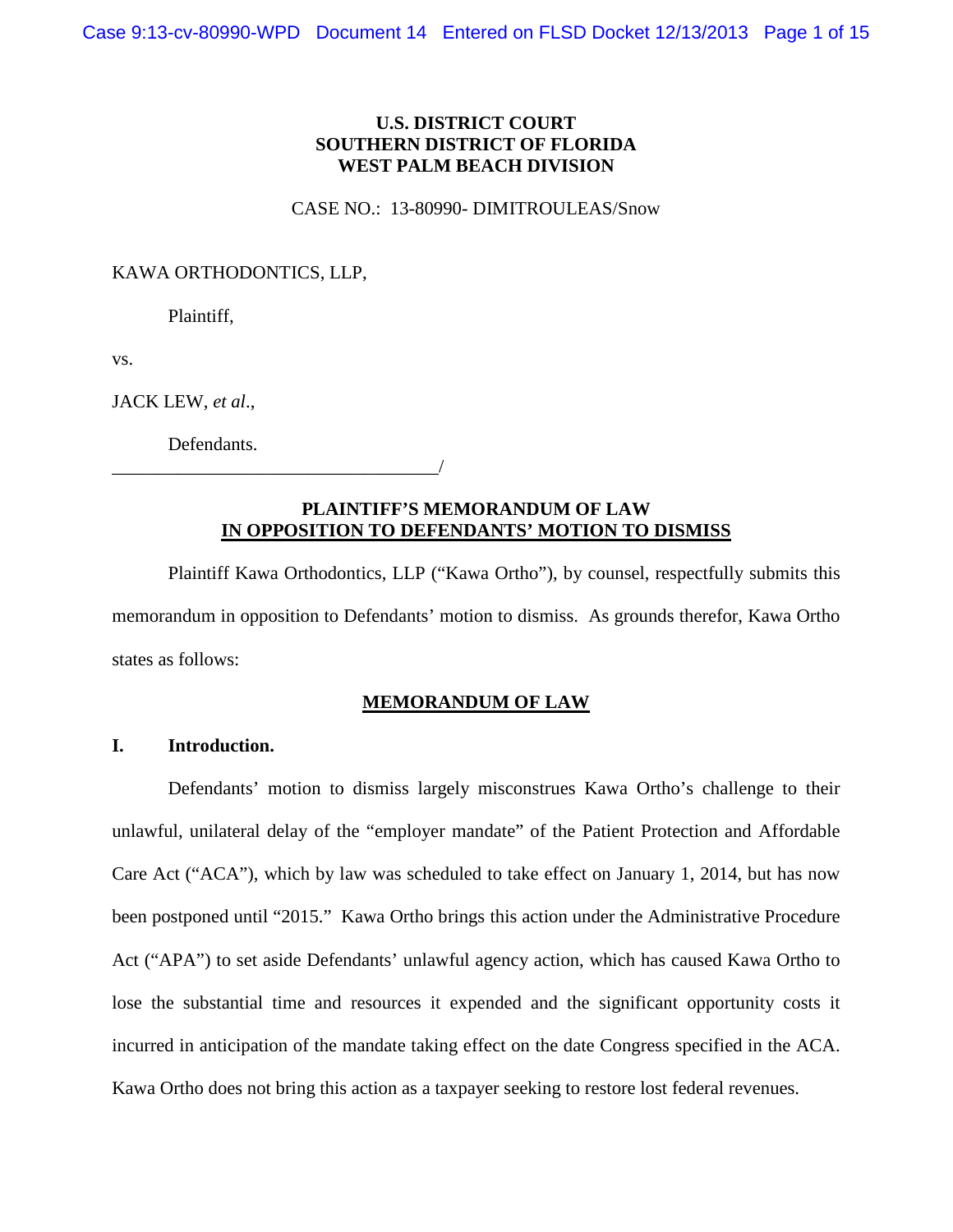## **U.S. DISTRICT COURT SOUTHERN DISTRICT OF FLORIDA WEST PALM BEACH DIVISION**

#### CASE NO.: 13-80990- DIMITROULEAS/Snow

#### KAWA ORTHODONTICS, LLP,

Plaintiff,

vs.

JACK LEW, *et al*.,

Defendants.

\_\_\_\_\_\_\_\_\_\_\_\_\_\_\_\_\_\_\_\_\_\_\_\_\_\_\_\_\_\_\_\_\_\_\_/

## **PLAINTIFF'S MEMORANDUM OF LAW IN OPPOSITION TO DEFENDANTS' MOTION TO DISMISS**

Plaintiff Kawa Orthodontics, LLP ("Kawa Ortho"), by counsel, respectfully submits this memorandum in opposition to Defendants' motion to dismiss. As grounds therefor, Kawa Ortho states as follows:

### **MEMORANDUM OF LAW**

## **I. Introduction.**

Defendants' motion to dismiss largely misconstrues Kawa Ortho's challenge to their unlawful, unilateral delay of the "employer mandate" of the Patient Protection and Affordable Care Act ("ACA"), which by law was scheduled to take effect on January 1, 2014, but has now been postponed until "2015." Kawa Ortho brings this action under the Administrative Procedure Act ("APA") to set aside Defendants' unlawful agency action, which has caused Kawa Ortho to lose the substantial time and resources it expended and the significant opportunity costs it incurred in anticipation of the mandate taking effect on the date Congress specified in the ACA. Kawa Ortho does not bring this action as a taxpayer seeking to restore lost federal revenues.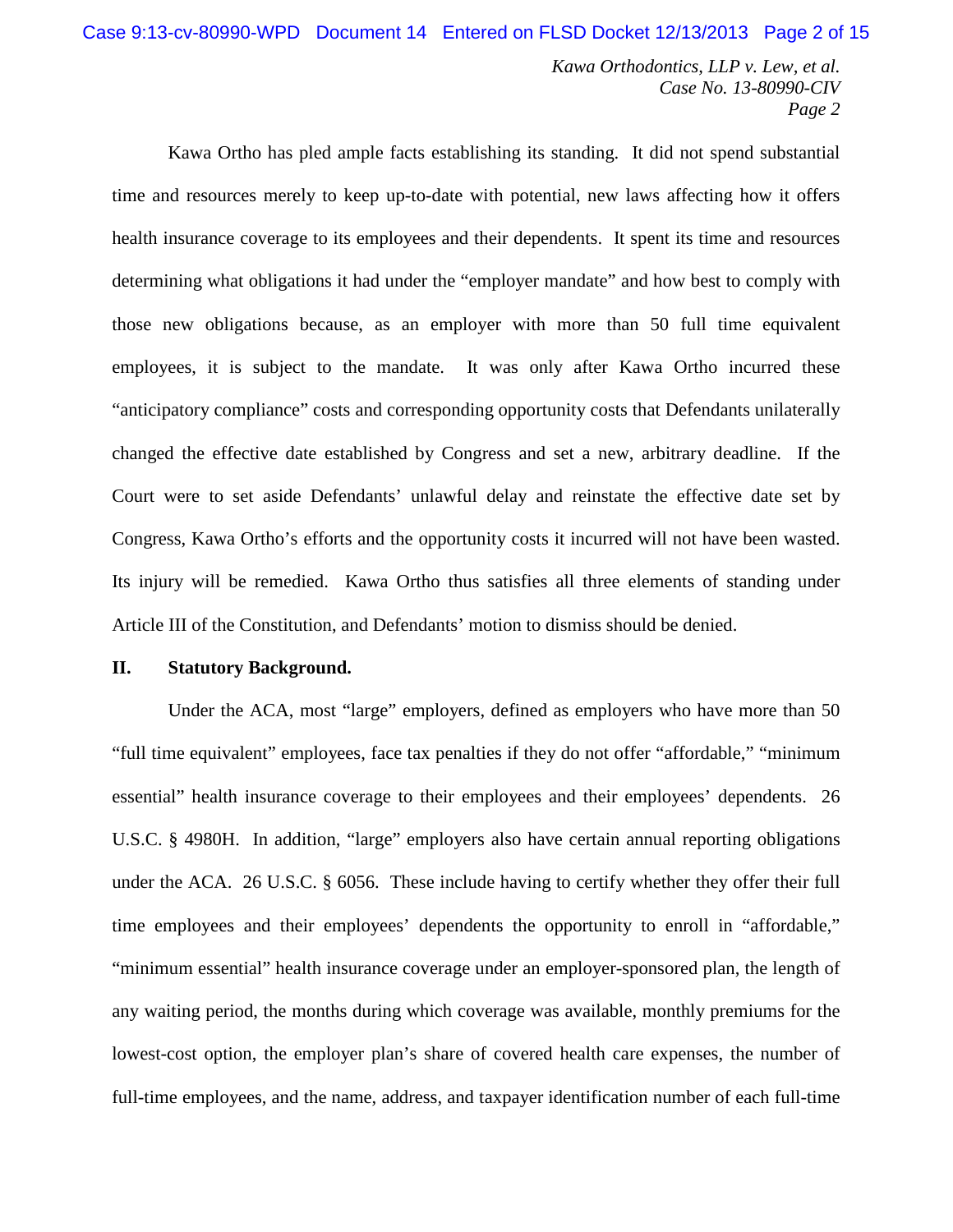Kawa Ortho has pled ample facts establishing its standing. It did not spend substantial time and resources merely to keep up-to-date with potential, new laws affecting how it offers health insurance coverage to its employees and their dependents. It spent its time and resources determining what obligations it had under the "employer mandate" and how best to comply with those new obligations because, as an employer with more than 50 full time equivalent employees, it is subject to the mandate. It was only after Kawa Ortho incurred these "anticipatory compliance" costs and corresponding opportunity costs that Defendants unilaterally changed the effective date established by Congress and set a new, arbitrary deadline. If the Court were to set aside Defendants' unlawful delay and reinstate the effective date set by Congress, Kawa Ortho's efforts and the opportunity costs it incurred will not have been wasted. Its injury will be remedied. Kawa Ortho thus satisfies all three elements of standing under Article III of the Constitution, and Defendants' motion to dismiss should be denied.

### **II. Statutory Background.**

Under the ACA, most "large" employers, defined as employers who have more than 50 "full time equivalent" employees, face tax penalties if they do not offer "affordable," "minimum essential" health insurance coverage to their employees and their employees' dependents. 26 U.S.C. § 4980H. In addition, "large" employers also have certain annual reporting obligations under the ACA. 26 U.S.C. § 6056. These include having to certify whether they offer their full time employees and their employees' dependents the opportunity to enroll in "affordable," "minimum essential" health insurance coverage under an employer-sponsored plan, the length of any waiting period, the months during which coverage was available, monthly premiums for the lowest-cost option, the employer plan's share of covered health care expenses, the number of full-time employees, and the name, address, and taxpayer identification number of each full-time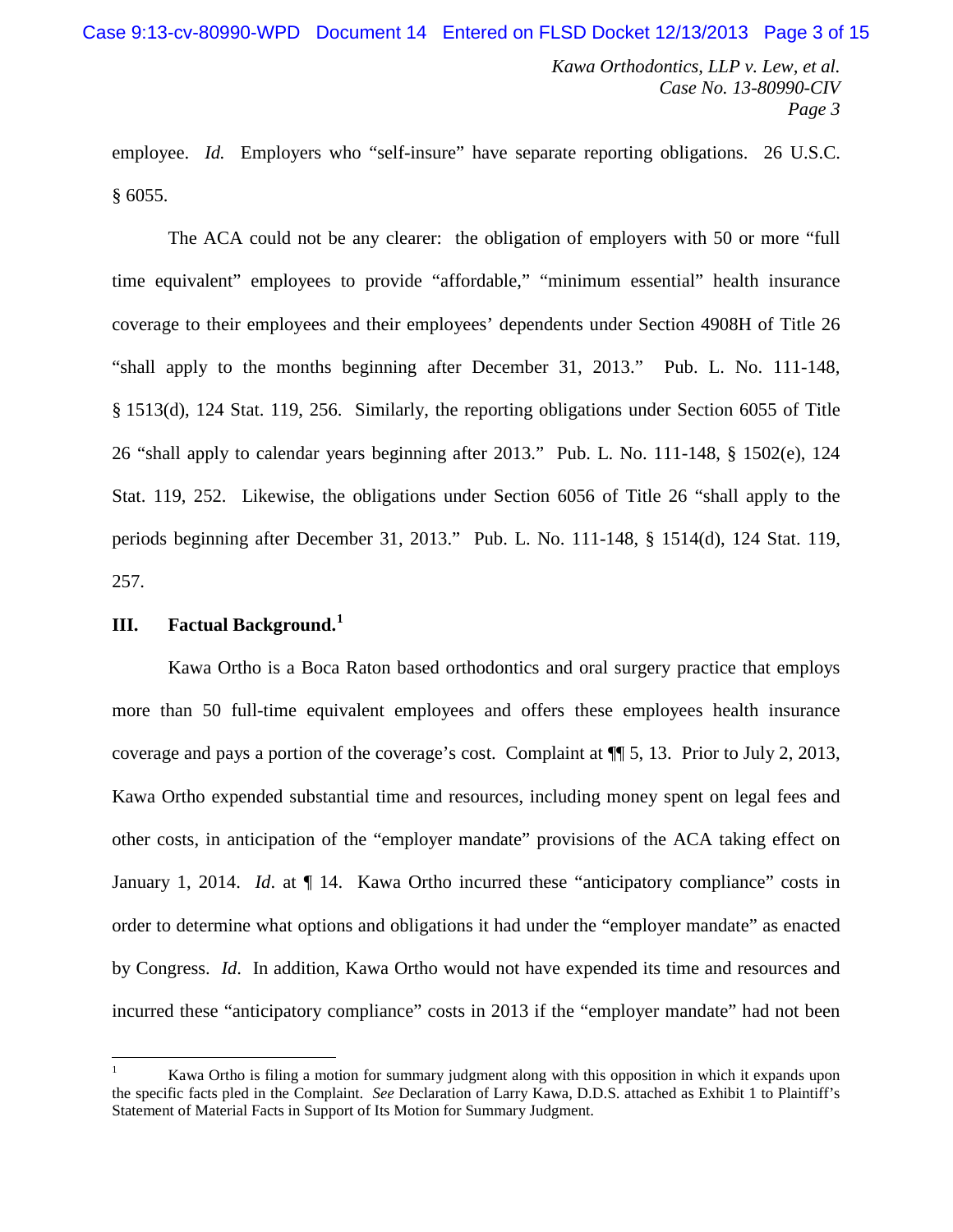employee. *Id.* Employers who "self-insure" have separate reporting obligations. 26 U.S.C. § 6055.

The ACA could not be any clearer: the obligation of employers with 50 or more "full time equivalent" employees to provide "affordable," "minimum essential" health insurance coverage to their employees and their employees' dependents under Section 4908H of Title 26 "shall apply to the months beginning after December 31, 2013." Pub. L. No. 111-148, § 1513(d), 124 Stat. 119, 256. Similarly, the reporting obligations under Section 6055 of Title 26 "shall apply to calendar years beginning after 2013." Pub. L. No. 111-148, § 1502(e), 124 Stat. 119, 252. Likewise, the obligations under Section 6056 of Title 26 "shall apply to the periods beginning after December 31, 2013." Pub. L. No. 111-148, § 1514(d), 124 Stat. 119, 257.

# **III. Factual Background. [1](#page-2-0)**

Kawa Ortho is a Boca Raton based orthodontics and oral surgery practice that employs more than 50 full-time equivalent employees and offers these employees health insurance coverage and pays a portion of the coverage's cost. Complaint at ¶¶ 5, 13. Prior to July 2, 2013, Kawa Ortho expended substantial time and resources, including money spent on legal fees and other costs, in anticipation of the "employer mandate" provisions of the ACA taking effect on January 1, 2014. *Id.* at  $\P$  14. Kawa Ortho incurred these "anticipatory compliance" costs in order to determine what options and obligations it had under the "employer mandate" as enacted by Congress. *Id*. In addition, Kawa Ortho would not have expended its time and resources and incurred these "anticipatory compliance" costs in 2013 if the "employer mandate" had not been

<span id="page-2-0"></span> <sup>1</sup> Kawa Ortho is filing a motion for summary judgment along with this opposition in which it expands upon the specific facts pled in the Complaint. *See* Declaration of Larry Kawa, D.D.S. attached as Exhibit 1 to Plaintiff's Statement of Material Facts in Support of Its Motion for Summary Judgment.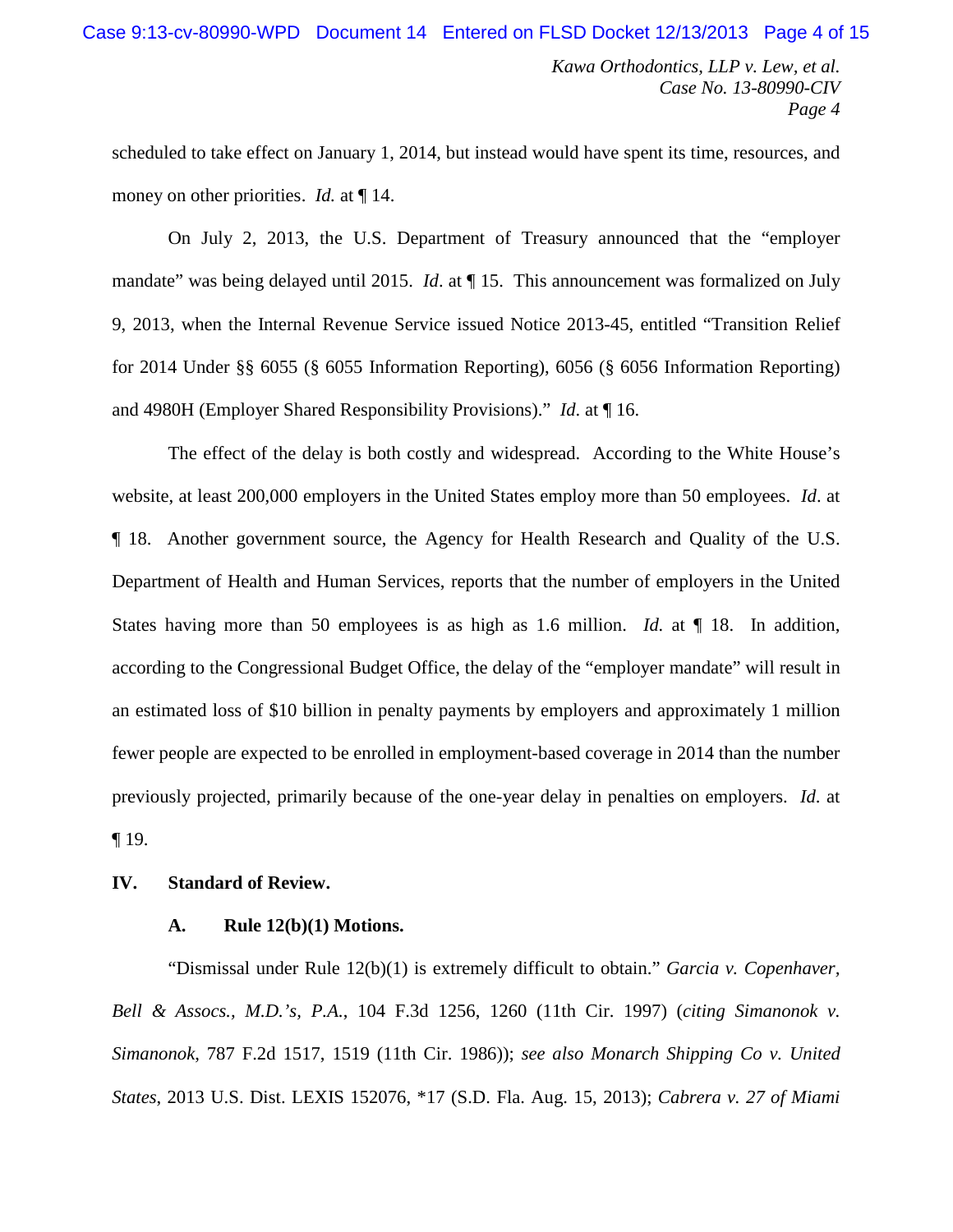scheduled to take effect on January 1, 2014, but instead would have spent its time, resources, and money on other priorities. *Id.* at  $\P$  14.

On July 2, 2013, the U.S. Department of Treasury announced that the "employer mandate" was being delayed until 2015. *Id.* at  $\P$  15. This announcement was formalized on July 9, 2013, when the Internal Revenue Service issued Notice 2013-45, entitled "Transition Relief for 2014 Under §§ 6055 (§ 6055 Information Reporting), 6056 (§ 6056 Information Reporting) and 4980H (Employer Shared Responsibility Provisions)." *Id*. at ¶ 16.

The effect of the delay is both costly and widespread. According to the White House's website, at least 200,000 employers in the United States employ more than 50 employees. *Id*. at ¶ 18. Another government source, the Agency for Health Research and Quality of the U.S. Department of Health and Human Services, reports that the number of employers in the United States having more than 50 employees is as high as 1.6 million. *Id.* at  $\P$  18. In addition, according to the Congressional Budget Office, the delay of the "employer mandate" will result in an estimated loss of \$10 billion in penalty payments by employers and approximately 1 million fewer people are expected to be enrolled in employment-based coverage in 2014 than the number previously projected, primarily because of the one-year delay in penalties on employers. *Id*. at ¶ 19.

## **IV. Standard of Review.**

#### **A. Rule 12(b)(1) Motions.**

"Dismissal under Rule 12(b)(1) is extremely difficult to obtain." *Garcia v. Copenhaver, Bell & Assocs., M.D.'s, P.A.*, 104 F.3d 1256, 1260 (11th Cir. 1997) (*citing Simanonok v. Simanonok*, 787 F.2d 1517, 1519 (11th Cir. 1986)); *see also Monarch Shipping Co v. United States*, 2013 U.S. Dist. LEXIS 152076, \*17 (S.D. Fla. Aug. 15, 2013); *Cabrera v. 27 of Miami*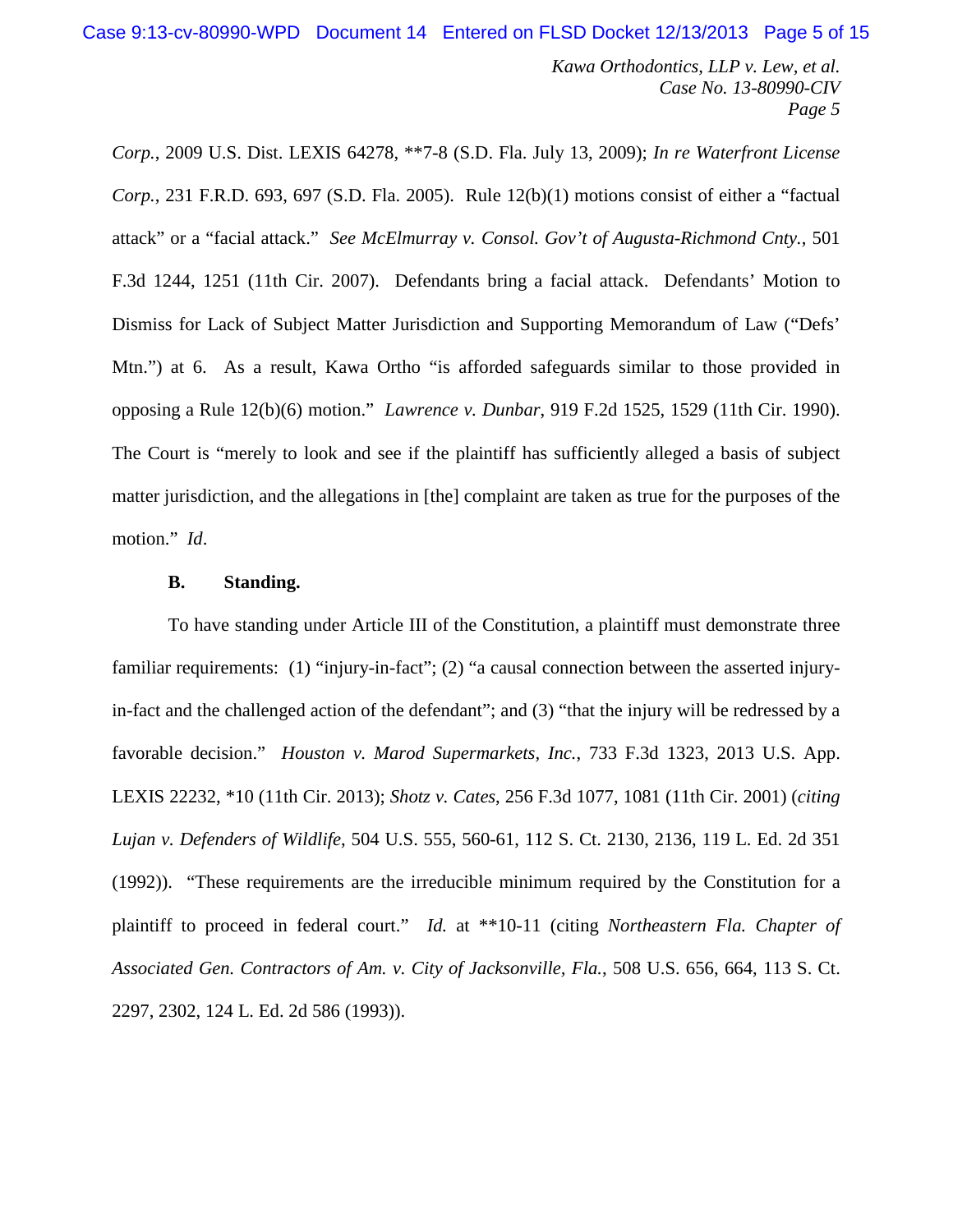Case 9:13-cv-80990-WPD Document 14 Entered on FLSD Docket 12/13/2013 Page 5 of 15

*Kawa Orthodontics, LLP v. Lew, et al. Case No. 13-80990-CIV Page 5*

*Corp.*, 2009 U.S. Dist. LEXIS 64278, \*\*7-8 (S.D. Fla. July 13, 2009); *In re Waterfront License Corp.*, 231 F.R.D. 693, 697 (S.D. Fla. 2005). Rule 12(b)(1) motions consist of either a "factual attack" or a "facial attack." *See McElmurray v. Consol. Gov't of Augusta-Richmond Cnty.*, 501 F.3d 1244, 1251 (11th Cir. 2007). Defendants bring a facial attack. Defendants' Motion to Dismiss for Lack of Subject Matter Jurisdiction and Supporting Memorandum of Law ("Defs' Mtn.") at 6. As a result, Kawa Ortho "is afforded safeguards similar to those provided in opposing a Rule 12(b)(6) motion." *Lawrence v. Dunbar*, 919 F.2d 1525, 1529 (11th Cir. 1990). The Court is "merely to look and see if the plaintiff has sufficiently alleged a basis of subject matter jurisdiction, and the allegations in [the] complaint are taken as true for the purposes of the motion." *Id*.

## **B. Standing.**

To have standing under Article III of the Constitution, a plaintiff must demonstrate three familiar requirements: (1) "injury-in-fact"; (2) "a causal connection between the asserted injuryin-fact and the challenged action of the defendant"; and (3) "that the injury will be redressed by a favorable decision." *Houston v. Marod Supermarkets, Inc.*, 733 F.3d 1323, 2013 U.S. App. LEXIS 22232, \*10 (11th Cir. 2013); *Shotz v. Cates*, 256 F.3d 1077, 1081 (11th Cir. 2001) (*citing Lujan v. Defenders of Wildlife*, 504 U.S. 555, 560-61, 112 S. Ct. 2130, 2136, 119 L. Ed. 2d 351 (1992)). "These requirements are the irreducible minimum required by the Constitution for a plaintiff to proceed in federal court." *Id.* at \*\*10-11 (citing *Northeastern Fla. Chapter of Associated Gen. Contractors of Am. v. City of Jacksonville, Fla.*, 508 U.S. 656, 664, 113 S. Ct. 2297, 2302, 124 L. Ed. 2d 586 (1993)).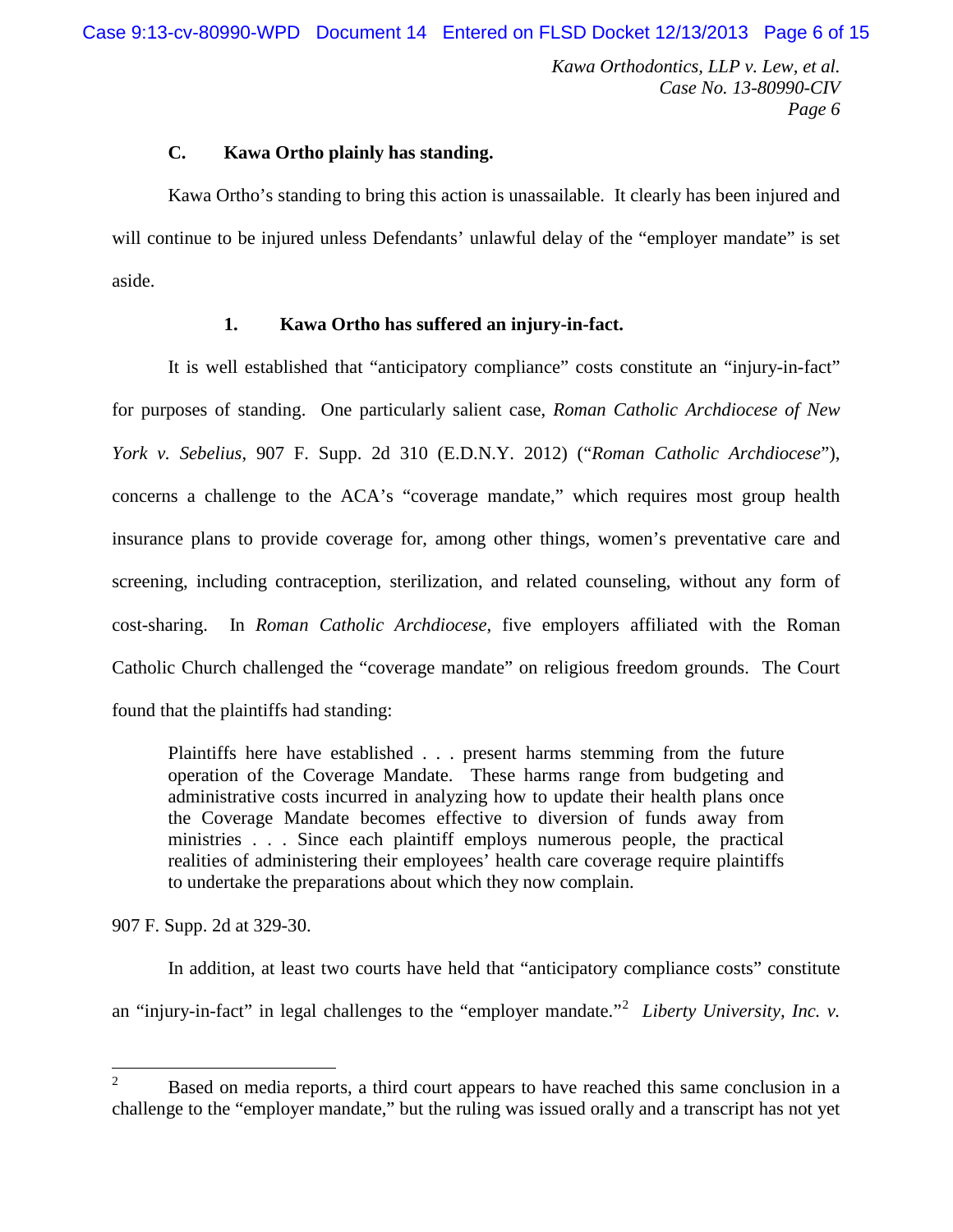#### **C. Kawa Ortho plainly has standing.**

Kawa Ortho's standing to bring this action is unassailable. It clearly has been injured and will continue to be injured unless Defendants' unlawful delay of the "employer mandate" is set aside.

## **1. Kawa Ortho has suffered an injury-in-fact.**

It is well established that "anticipatory compliance" costs constitute an "injury-in-fact" for purposes of standing. One particularly salient case, *Roman Catholic Archdiocese of New York v. Sebelius*, 907 F. Supp. 2d 310 (E.D.N.Y. 2012) ("*Roman Catholic Archdiocese*"), concerns a challenge to the ACA's "coverage mandate," which requires most group health insurance plans to provide coverage for, among other things, women's preventative care and screening, including contraception, sterilization, and related counseling, without any form of cost-sharing. In *Roman Catholic Archdiocese*, five employers affiliated with the Roman Catholic Church challenged the "coverage mandate" on religious freedom grounds. The Court found that the plaintiffs had standing:

Plaintiffs here have established . . . present harms stemming from the future operation of the Coverage Mandate. These harms range from budgeting and administrative costs incurred in analyzing how to update their health plans once the Coverage Mandate becomes effective to diversion of funds away from ministries . . . Since each plaintiff employs numerous people, the practical realities of administering their employees' health care coverage require plaintiffs to undertake the preparations about which they now complain.

907 F. Supp. 2d at 329-30.

In addition, at least two courts have held that "anticipatory compliance costs" constitute an "injury-in-fact" in legal challenges to the "employer mandate."[2](#page-5-0) *Liberty University, Inc. v.* 

<span id="page-5-0"></span><sup>&</sup>lt;sup>2</sup> Based on media reports, a third court appears to have reached this same conclusion in a challenge to the "employer mandate," but the ruling was issued orally and a transcript has not yet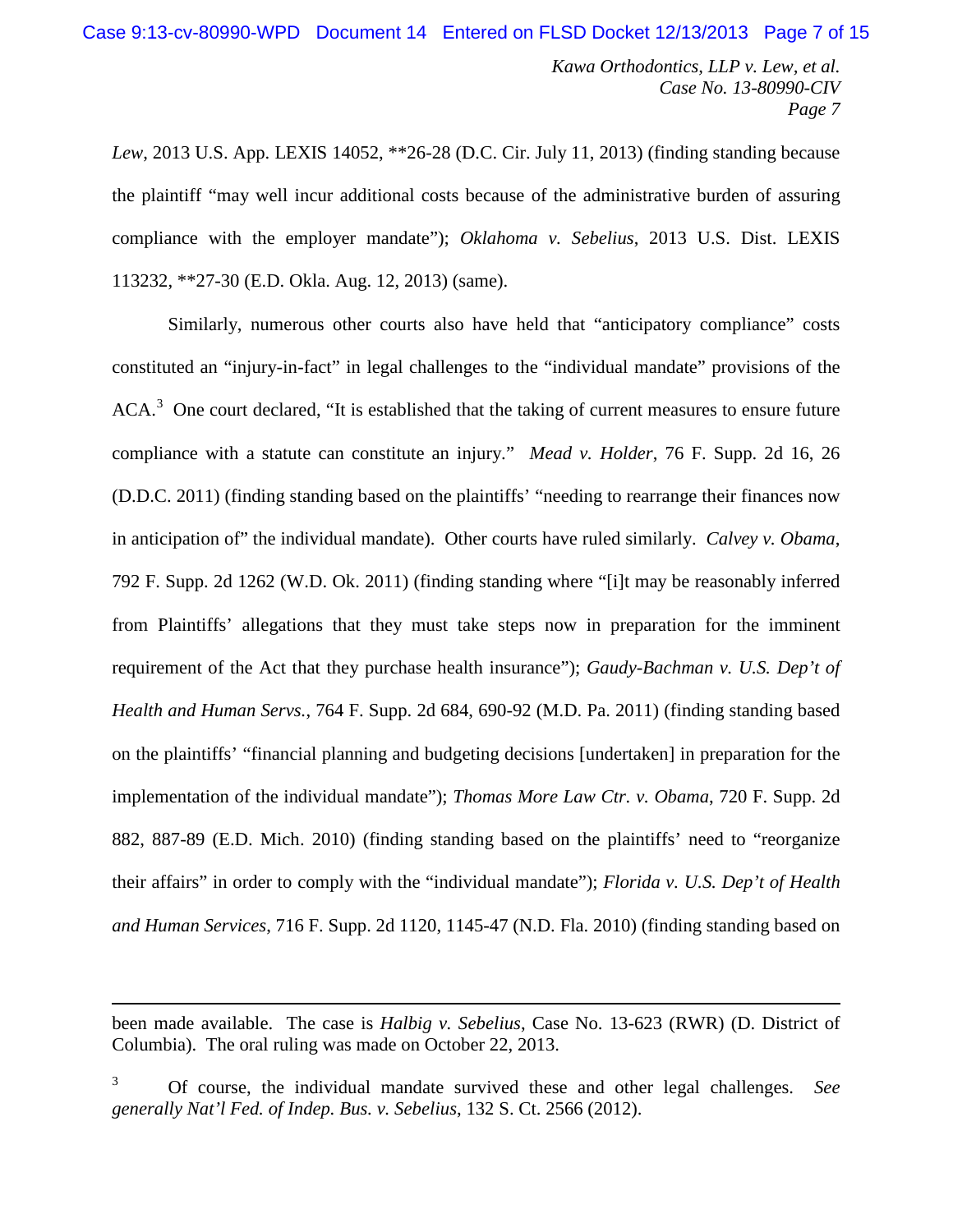*Lew*, 2013 U.S. App. LEXIS 14052, \*\*26-28 (D.C. Cir. July 11, 2013) (finding standing because the plaintiff "may well incur additional costs because of the administrative burden of assuring compliance with the employer mandate"); *Oklahoma v. Sebelius*, 2013 U.S. Dist. LEXIS 113232, \*\*27-30 (E.D. Okla. Aug. 12, 2013) (same).

Similarly, numerous other courts also have held that "anticipatory compliance" costs constituted an "injury-in-fact" in legal challenges to the "individual mandate" provisions of the  $ACA<sup>3</sup>$  $ACA<sup>3</sup>$  $ACA<sup>3</sup>$  One court declared, "It is established that the taking of current measures to ensure future compliance with a statute can constitute an injury." *Mead v. Holder*, 76 F. Supp. 2d 16, 26 (D.D.C. 2011) (finding standing based on the plaintiffs' "needing to rearrange their finances now in anticipation of" the individual mandate). Other courts have ruled similarly. *Calvey v. Obama*, 792 F. Supp. 2d 1262 (W.D. Ok. 2011) (finding standing where "[i]t may be reasonably inferred from Plaintiffs' allegations that they must take steps now in preparation for the imminent requirement of the Act that they purchase health insurance"); *Gaudy-Bachman v. U.S. Dep't of Health and Human Servs.*, 764 F. Supp. 2d 684, 690-92 (M.D. Pa. 2011) (finding standing based on the plaintiffs' "financial planning and budgeting decisions [undertaken] in preparation for the implementation of the individual mandate"); *Thomas More Law Ctr. v. Obama*, 720 F. Supp. 2d 882, 887-89 (E.D. Mich. 2010) (finding standing based on the plaintiffs' need to "reorganize their affairs" in order to comply with the "individual mandate"); *Florida v. U.S. Dep't of Health and Human Services*, 716 F. Supp. 2d 1120, 1145-47 (N.D. Fla. 2010) (finding standing based on

 $\overline{a}$ 

been made available. The case is *Halbig v. Sebelius*, Case No. 13-623 (RWR) (D. District of Columbia). The oral ruling was made on October 22, 2013.

<span id="page-6-0"></span><sup>3</sup> Of course, the individual mandate survived these and other legal challenges. *See generally Nat'l Fed. of Indep. Bus. v. Sebelius*, 132 S. Ct. 2566 (2012).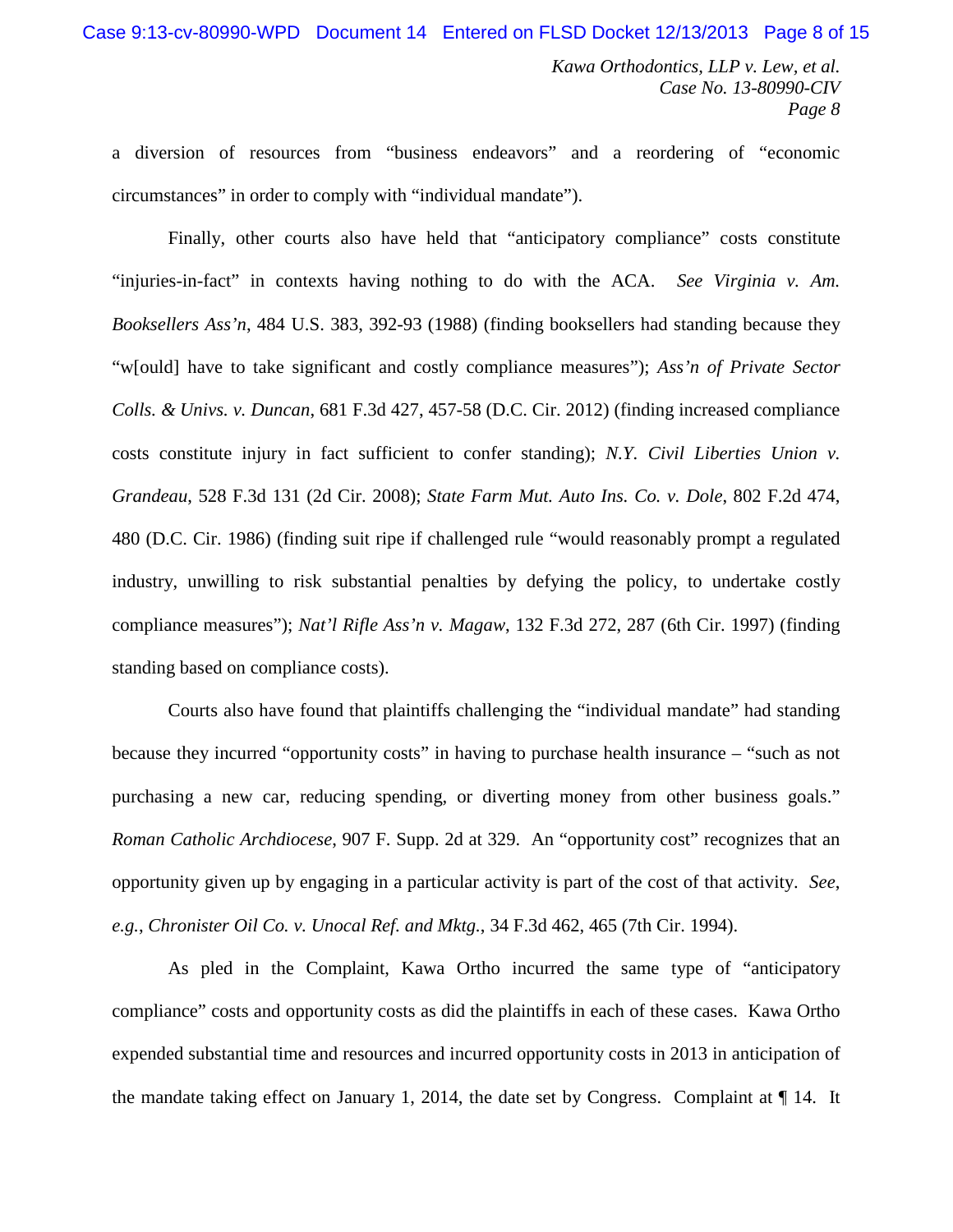a diversion of resources from "business endeavors" and a reordering of "economic circumstances" in order to comply with "individual mandate").

Finally, other courts also have held that "anticipatory compliance" costs constitute "injuries-in-fact" in contexts having nothing to do with the ACA. *See Virginia v. Am. Booksellers Ass'n*, 484 U.S. 383, 392-93 (1988) (finding booksellers had standing because they "w[ould] have to take significant and costly compliance measures"); *Ass'n of Private Sector Colls. & Univs. v. Duncan*, 681 F.3d 427, 457-58 (D.C. Cir. 2012) (finding increased compliance costs constitute injury in fact sufficient to confer standing); *N.Y. Civil Liberties Union v. Grandeau*, 528 F.3d 131 (2d Cir. 2008); *State Farm Mut. Auto Ins. Co. v. Dole*, 802 F.2d 474, 480 (D.C. Cir. 1986) (finding suit ripe if challenged rule "would reasonably prompt a regulated industry, unwilling to risk substantial penalties by defying the policy, to undertake costly compliance measures"); *Nat'l Rifle Ass'n v. Magaw*, 132 F.3d 272, 287 (6th Cir. 1997) (finding standing based on compliance costs).

Courts also have found that plaintiffs challenging the "individual mandate" had standing because they incurred "opportunity costs" in having to purchase health insurance – "such as not purchasing a new car, reducing spending, or diverting money from other business goals." *Roman Catholic Archdiocese*, 907 F. Supp. 2d at 329. An "opportunity cost" recognizes that an opportunity given up by engaging in a particular activity is part of the cost of that activity. *See*, *e.g.*, *Chronister Oil Co. v. Unocal Ref. and Mktg.*, 34 F.3d 462, 465 (7th Cir. 1994).

As pled in the Complaint, Kawa Ortho incurred the same type of "anticipatory compliance" costs and opportunity costs as did the plaintiffs in each of these cases. Kawa Ortho expended substantial time and resources and incurred opportunity costs in 2013 in anticipation of the mandate taking effect on January 1, 2014, the date set by Congress. Complaint at ¶ 14. It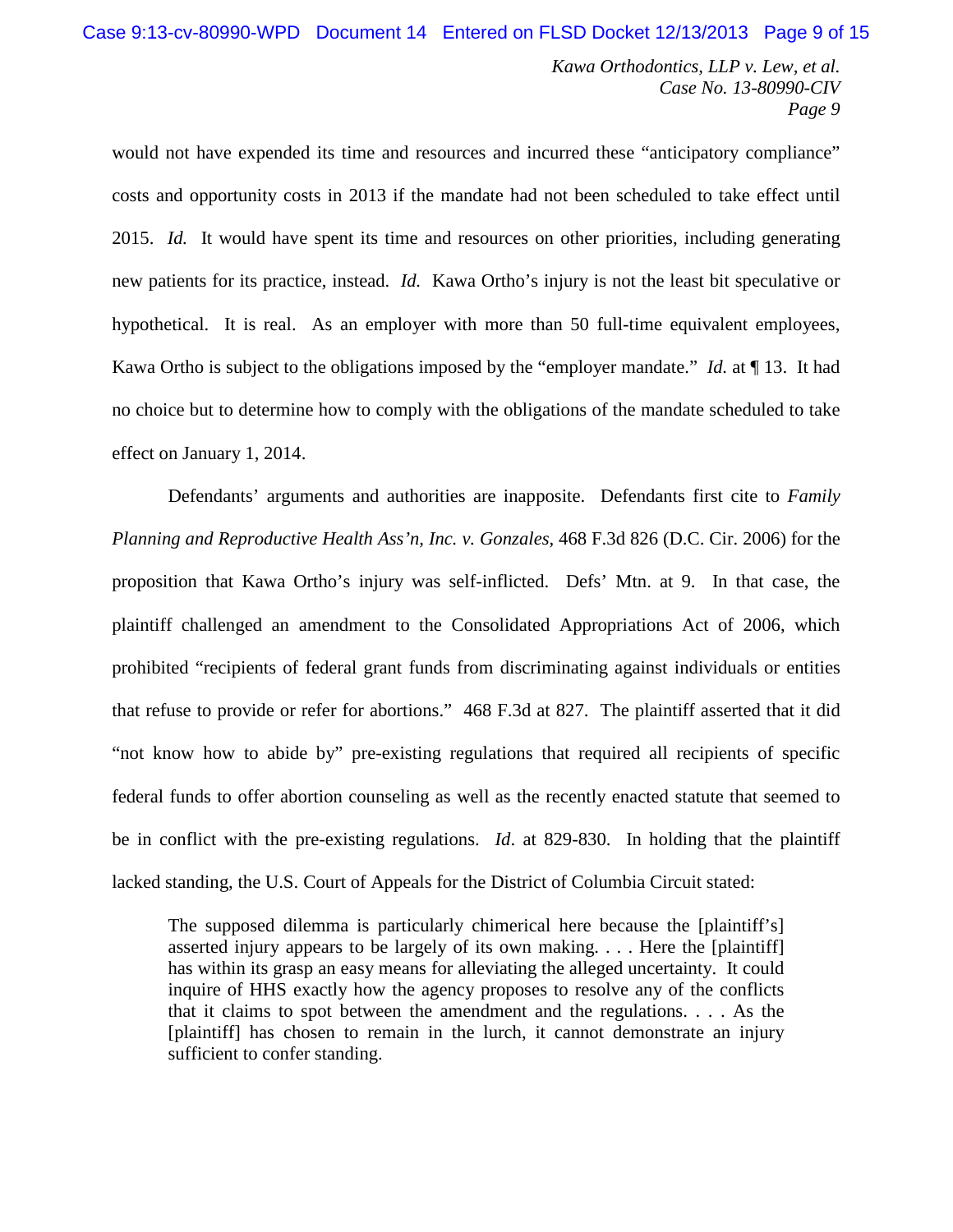would not have expended its time and resources and incurred these "anticipatory compliance" costs and opportunity costs in 2013 if the mandate had not been scheduled to take effect until 2015. *Id.* It would have spent its time and resources on other priorities, including generating new patients for its practice, instead. *Id.* Kawa Ortho's injury is not the least bit speculative or hypothetical. It is real. As an employer with more than 50 full-time equivalent employees, Kawa Ortho is subject to the obligations imposed by the "employer mandate." *Id.* at ¶ 13. It had no choice but to determine how to comply with the obligations of the mandate scheduled to take effect on January 1, 2014.

Defendants' arguments and authorities are inapposite. Defendants first cite to *Family Planning and Reproductive Health Ass'n, Inc. v. Gonzales*, 468 F.3d 826 (D.C. Cir. 2006) for the proposition that Kawa Ortho's injury was self-inflicted. Defs' Mtn. at 9. In that case, the plaintiff challenged an amendment to the Consolidated Appropriations Act of 2006, which prohibited "recipients of federal grant funds from discriminating against individuals or entities that refuse to provide or refer for abortions." 468 F.3d at 827. The plaintiff asserted that it did "not know how to abide by" pre-existing regulations that required all recipients of specific federal funds to offer abortion counseling as well as the recently enacted statute that seemed to be in conflict with the pre-existing regulations. *Id*. at 829-830. In holding that the plaintiff lacked standing, the U.S. Court of Appeals for the District of Columbia Circuit stated:

The supposed dilemma is particularly chimerical here because the [plaintiff's] asserted injury appears to be largely of its own making. . . . Here the [plaintiff] has within its grasp an easy means for alleviating the alleged uncertainty. It could inquire of HHS exactly how the agency proposes to resolve any of the conflicts that it claims to spot between the amendment and the regulations. . . . As the [plaintiff] has chosen to remain in the lurch, it cannot demonstrate an injury sufficient to confer standing.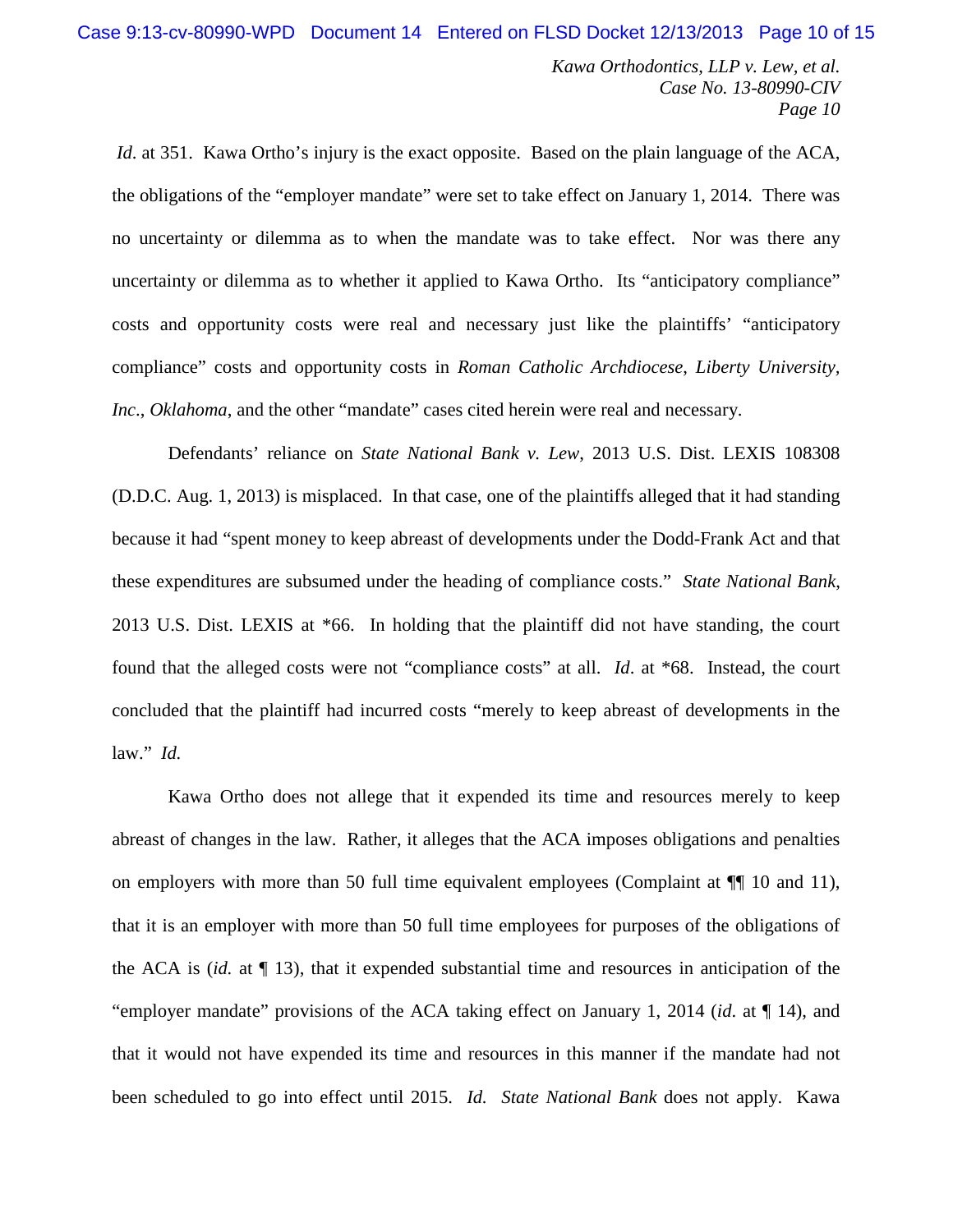*Id.* at 351. Kawa Ortho's injury is the exact opposite. Based on the plain language of the ACA, the obligations of the "employer mandate" were set to take effect on January 1, 2014. There was no uncertainty or dilemma as to when the mandate was to take effect. Nor was there any uncertainty or dilemma as to whether it applied to Kawa Ortho. Its "anticipatory compliance" costs and opportunity costs were real and necessary just like the plaintiffs' "anticipatory compliance" costs and opportunity costs in *Roman Catholic Archdiocese*, *Liberty University, Inc*., *Oklahoma*, and the other "mandate" cases cited herein were real and necessary.

Defendants' reliance on *State National Bank v. Lew*, 2013 U.S. Dist. LEXIS 108308 (D.D.C. Aug. 1, 2013) is misplaced. In that case, one of the plaintiffs alleged that it had standing because it had "spent money to keep abreast of developments under the Dodd-Frank Act and that these expenditures are subsumed under the heading of compliance costs." *State National Bank*, 2013 U.S. Dist. LEXIS at \*66. In holding that the plaintiff did not have standing, the court found that the alleged costs were not "compliance costs" at all. *Id*. at \*68. Instead, the court concluded that the plaintiff had incurred costs "merely to keep abreast of developments in the law." *Id.*

Kawa Ortho does not allege that it expended its time and resources merely to keep abreast of changes in the law. Rather, it alleges that the ACA imposes obligations and penalties on employers with more than 50 full time equivalent employees (Complaint at ¶¶ 10 and 11), that it is an employer with more than 50 full time employees for purposes of the obligations of the ACA is (*id.* at ¶ 13), that it expended substantial time and resources in anticipation of the "employer mandate" provisions of the ACA taking effect on January 1, 2014 (*id*. at ¶ 14), and that it would not have expended its time and resources in this manner if the mandate had not been scheduled to go into effect until 2015. *Id. State National Bank* does not apply. Kawa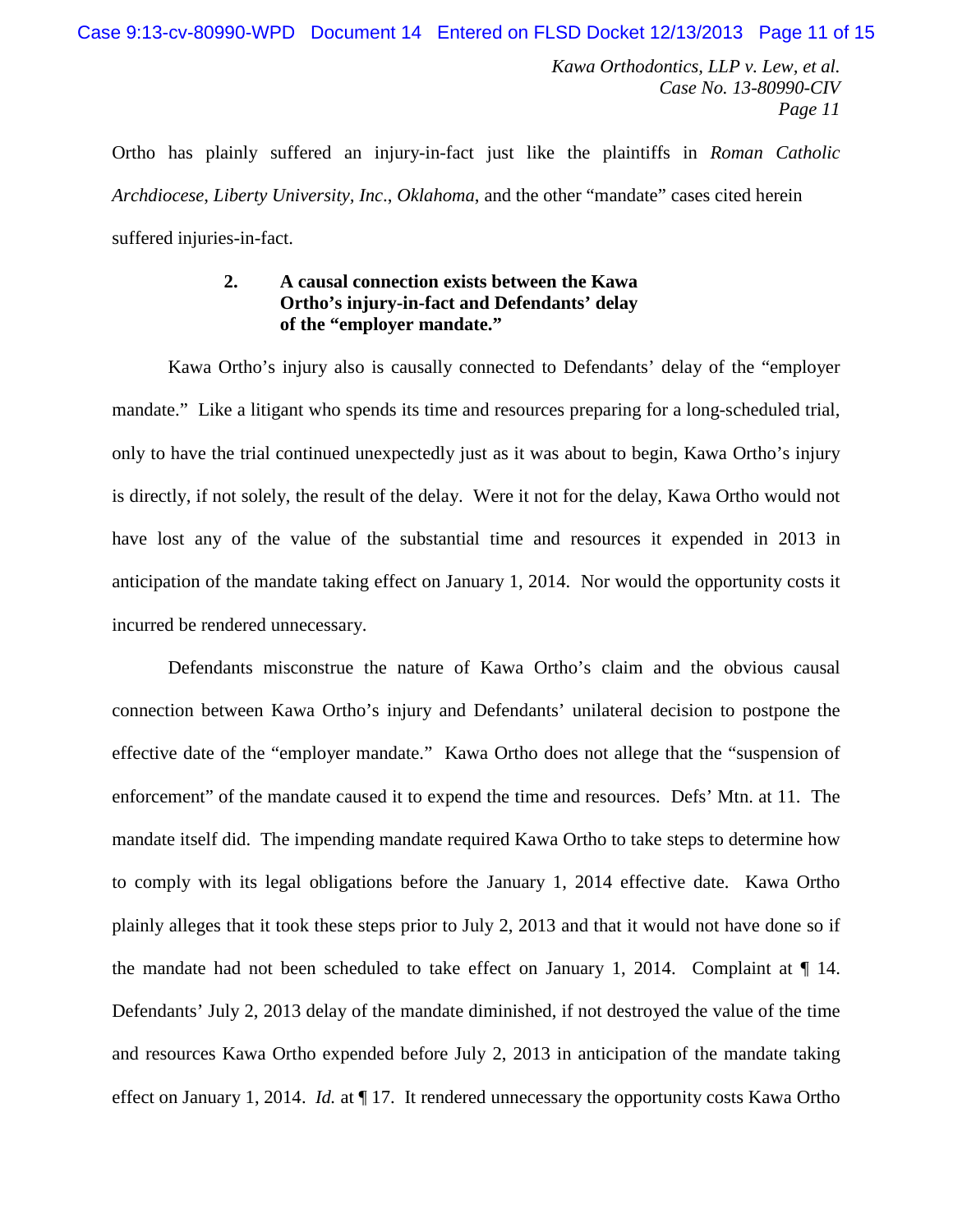Ortho has plainly suffered an injury-in-fact just like the plaintiffs in *Roman Catholic Archdiocese*, *Liberty University, Inc*., *Oklahoma*, and the other "mandate" cases cited herein suffered injuries-in-fact.

## **2. A causal connection exists between the Kawa Ortho's injury-in-fact and Defendants' delay of the "employer mandate."**

Kawa Ortho's injury also is causally connected to Defendants' delay of the "employer mandate." Like a litigant who spends its time and resources preparing for a long-scheduled trial, only to have the trial continued unexpectedly just as it was about to begin, Kawa Ortho's injury is directly, if not solely, the result of the delay. Were it not for the delay, Kawa Ortho would not have lost any of the value of the substantial time and resources it expended in 2013 in anticipation of the mandate taking effect on January 1, 2014. Nor would the opportunity costs it incurred be rendered unnecessary.

Defendants misconstrue the nature of Kawa Ortho's claim and the obvious causal connection between Kawa Ortho's injury and Defendants' unilateral decision to postpone the effective date of the "employer mandate." Kawa Ortho does not allege that the "suspension of enforcement" of the mandate caused it to expend the time and resources. Defs' Mtn. at 11. The mandate itself did. The impending mandate required Kawa Ortho to take steps to determine how to comply with its legal obligations before the January 1, 2014 effective date. Kawa Ortho plainly alleges that it took these steps prior to July 2, 2013 and that it would not have done so if the mandate had not been scheduled to take effect on January 1, 2014. Complaint at  $\P$  14. Defendants' July 2, 2013 delay of the mandate diminished, if not destroyed the value of the time and resources Kawa Ortho expended before July 2, 2013 in anticipation of the mandate taking effect on January 1, 2014. *Id.* at  $\P$  17. It rendered unnecessary the opportunity costs Kawa Ortho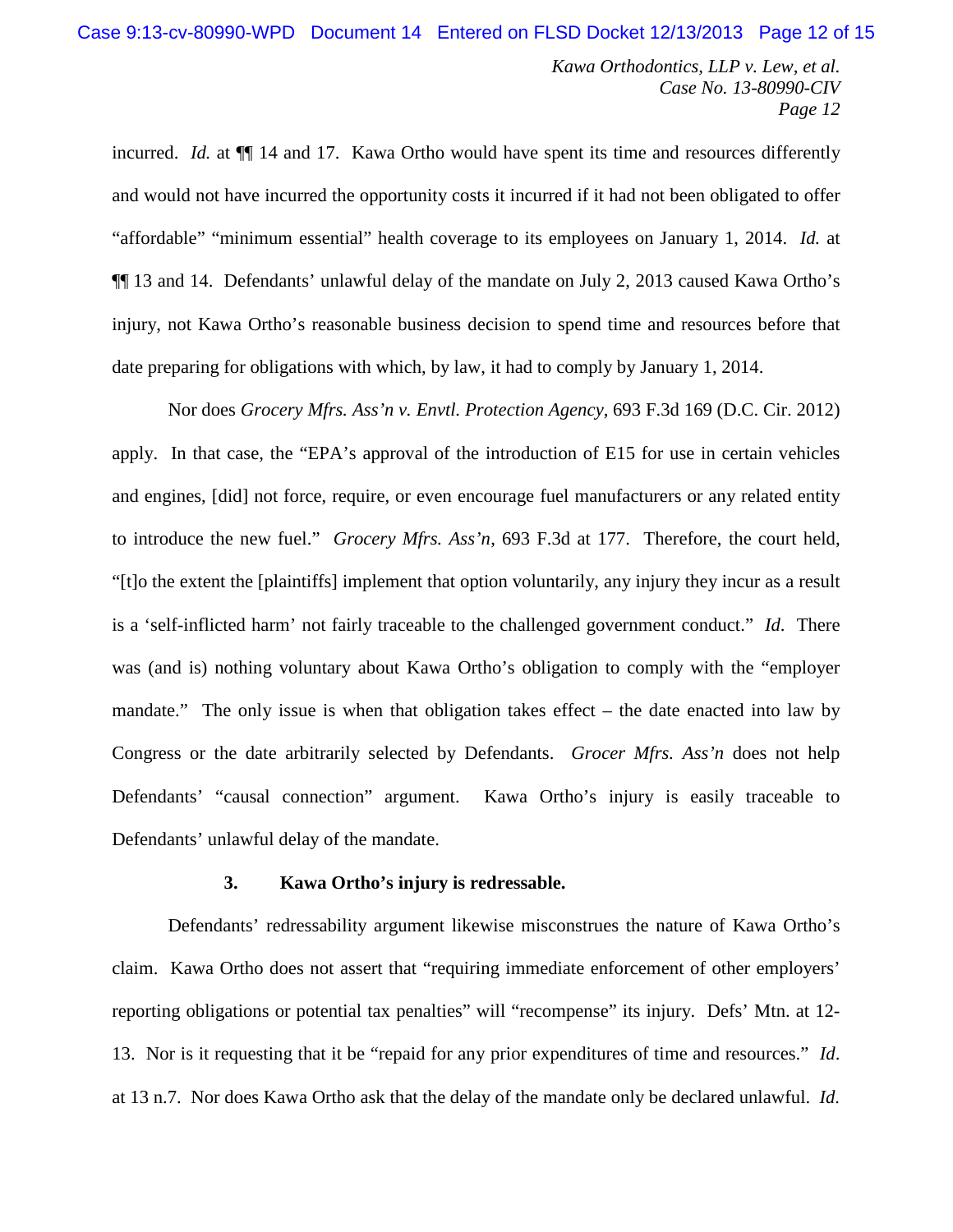incurred. *Id.* at  $\P$  14 and 17. Kawa Ortho would have spent its time and resources differently and would not have incurred the opportunity costs it incurred if it had not been obligated to offer "affordable" "minimum essential" health coverage to its employees on January 1, 2014. *Id.* at ¶¶ 13 and 14. Defendants' unlawful delay of the mandate on July 2, 2013 caused Kawa Ortho's injury, not Kawa Ortho's reasonable business decision to spend time and resources before that date preparing for obligations with which, by law, it had to comply by January 1, 2014.

Nor does *Grocery Mfrs. Ass'n v. Envtl. Protection Agency*, 693 F.3d 169 (D.C. Cir. 2012) apply. In that case, the "EPA's approval of the introduction of E15 for use in certain vehicles and engines, [did] not force, require, or even encourage fuel manufacturers or any related entity to introduce the new fuel." *Grocery Mfrs. Ass'n*, 693 F.3d at 177. Therefore, the court held, "[t]o the extent the [plaintiffs] implement that option voluntarily, any injury they incur as a result is a 'self-inflicted harm' not fairly traceable to the challenged government conduct." *Id*. There was (and is) nothing voluntary about Kawa Ortho's obligation to comply with the "employer mandate." The only issue is when that obligation takes effect – the date enacted into law by Congress or the date arbitrarily selected by Defendants. *Grocer Mfrs. Ass'n* does not help Defendants' "causal connection" argument. Kawa Ortho's injury is easily traceable to Defendants' unlawful delay of the mandate.

#### **3. Kawa Ortho's injury is redressable.**

Defendants' redressability argument likewise misconstrues the nature of Kawa Ortho's claim. Kawa Ortho does not assert that "requiring immediate enforcement of other employers' reporting obligations or potential tax penalties" will "recompense" its injury. Defs' Mtn. at 12- 13. Nor is it requesting that it be "repaid for any prior expenditures of time and resources." *Id*. at 13 n.7. Nor does Kawa Ortho ask that the delay of the mandate only be declared unlawful. *Id.*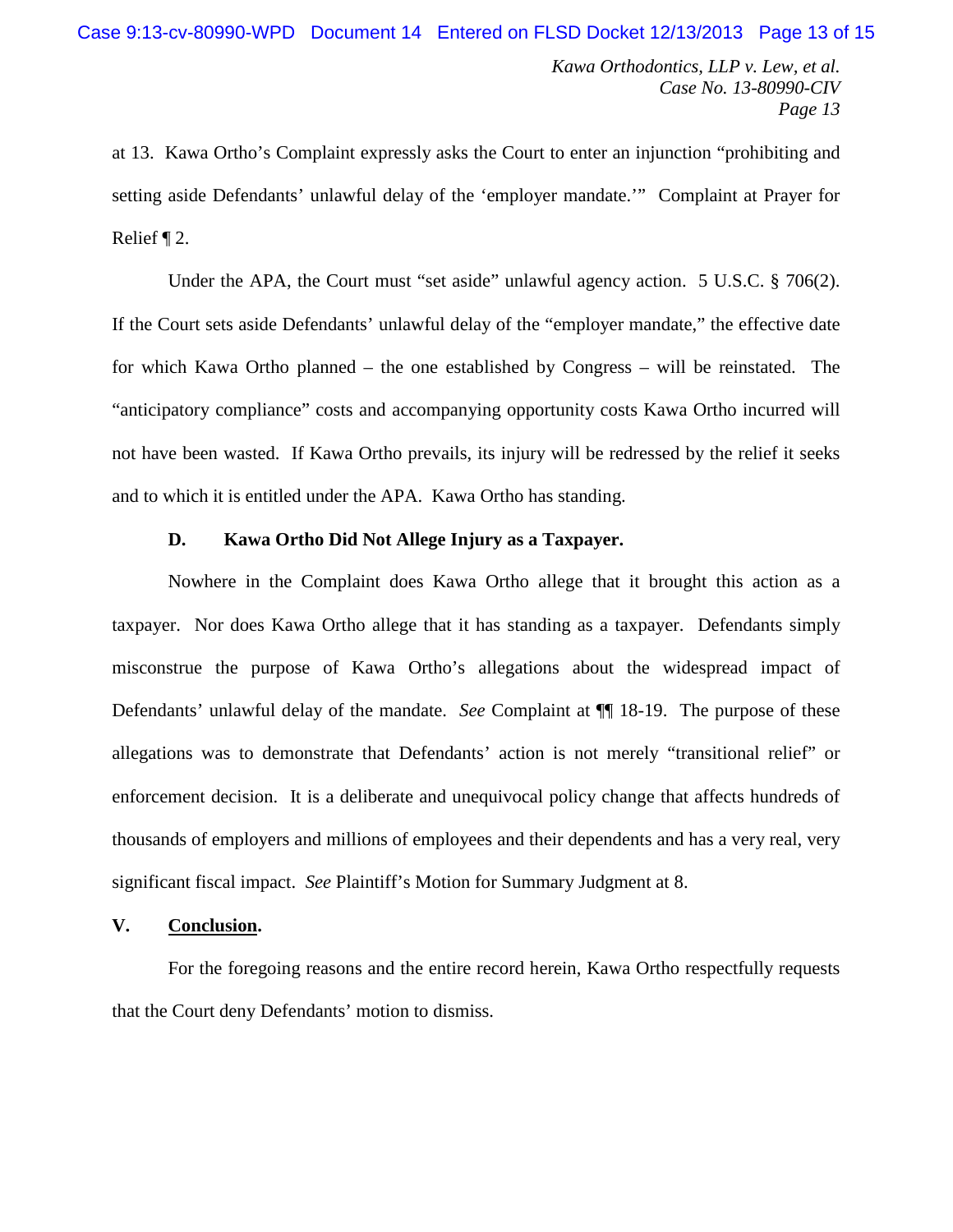at 13. Kawa Ortho's Complaint expressly asks the Court to enter an injunction "prohibiting and setting aside Defendants' unlawful delay of the 'employer mandate.'" Complaint at Prayer for Relief ¶ 2.

Under the APA, the Court must "set aside" unlawful agency action. 5 U.S.C. § 706(2). If the Court sets aside Defendants' unlawful delay of the "employer mandate," the effective date for which Kawa Ortho planned – the one established by Congress – will be reinstated. The "anticipatory compliance" costs and accompanying opportunity costs Kawa Ortho incurred will not have been wasted. If Kawa Ortho prevails, its injury will be redressed by the relief it seeks and to which it is entitled under the APA. Kawa Ortho has standing.

### **D. Kawa Ortho Did Not Allege Injury as a Taxpayer.**

Nowhere in the Complaint does Kawa Ortho allege that it brought this action as a taxpayer. Nor does Kawa Ortho allege that it has standing as a taxpayer. Defendants simply misconstrue the purpose of Kawa Ortho's allegations about the widespread impact of Defendants' unlawful delay of the mandate. *See* Complaint at ¶¶ 18-19. The purpose of these allegations was to demonstrate that Defendants' action is not merely "transitional relief" or enforcement decision. It is a deliberate and unequivocal policy change that affects hundreds of thousands of employers and millions of employees and their dependents and has a very real, very significant fiscal impact. *See* Plaintiff's Motion for Summary Judgment at 8.

## **V. Conclusion.**

For the foregoing reasons and the entire record herein, Kawa Ortho respectfully requests that the Court deny Defendants' motion to dismiss.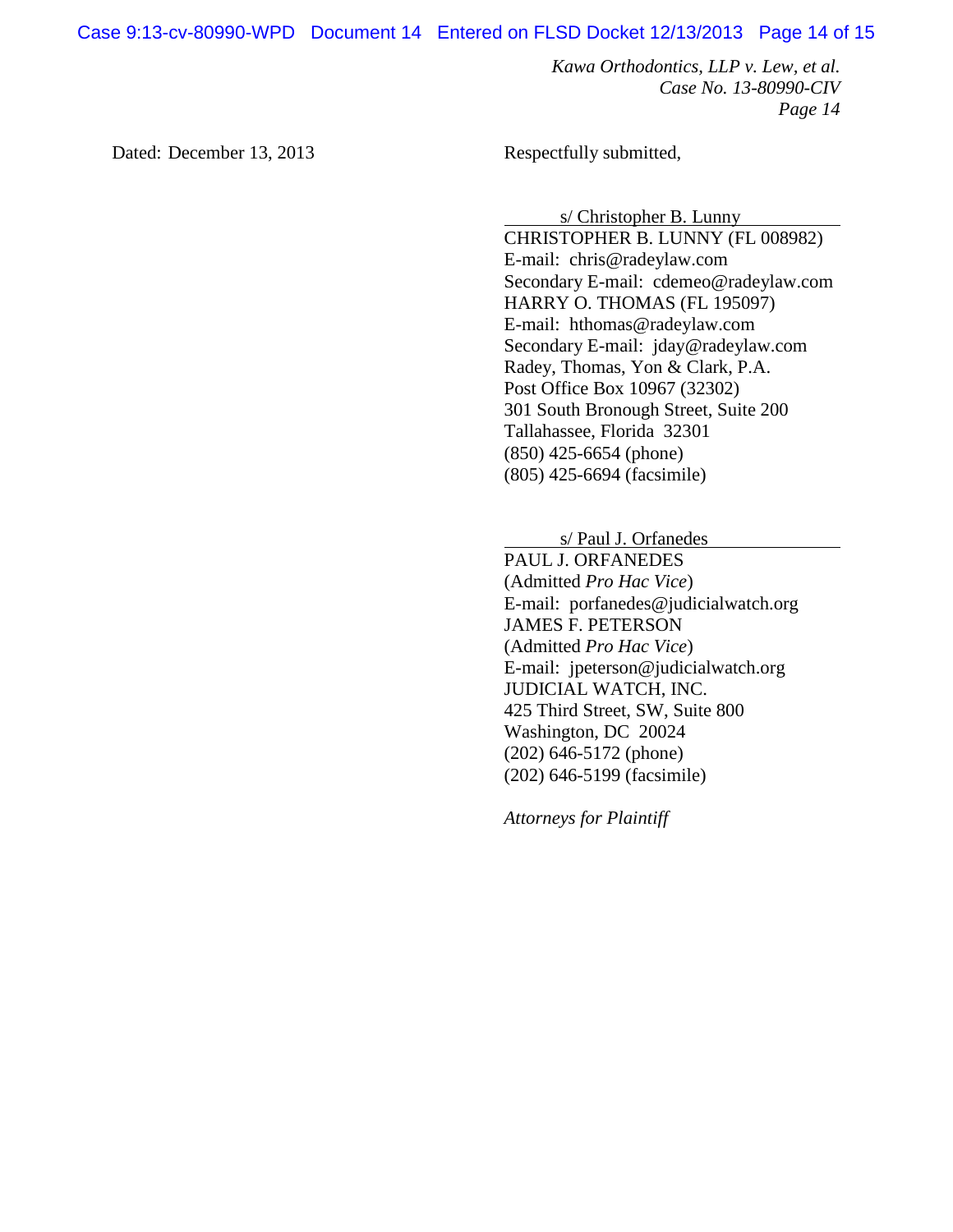Case 9:13-cv-80990-WPD Document 14 Entered on FLSD Docket 12/13/2013 Page 14 of 15

*Kawa Orthodontics, LLP v. Lew, et al. Case No. 13-80990-CIV Page 14*

Dated: December 13, 2013 Respectfully submitted,

s/ Christopher B. Lunny

CHRISTOPHER B. LUNNY (FL 008982) E-mail: chris@radeylaw.com Secondary E-mail: cdemeo@radeylaw.com HARRY O. THOMAS (FL 195097) E-mail: hthomas@radeylaw.com Secondary E-mail: jday@radeylaw.com Radey, Thomas, Yon & Clark, P.A. Post Office Box 10967 (32302) 301 South Bronough Street, Suite 200 Tallahassee, Florida 32301 (850) 425-6654 (phone) (805) 425-6694 (facsimile)

s/ Paul J. Orfanedes

PAUL J. ORFANEDES (Admitted *Pro Hac Vice*) E-mail: porfanedes@judicialwatch.org JAMES F. PETERSON (Admitted *Pro Hac Vice*) E-mail: jpeterson@judicialwatch.org JUDICIAL WATCH, INC. 425 Third Street, SW, Suite 800 Washington, DC 20024 (202) 646-5172 (phone) (202) 646-5199 (facsimile)

*Attorneys for Plaintiff*